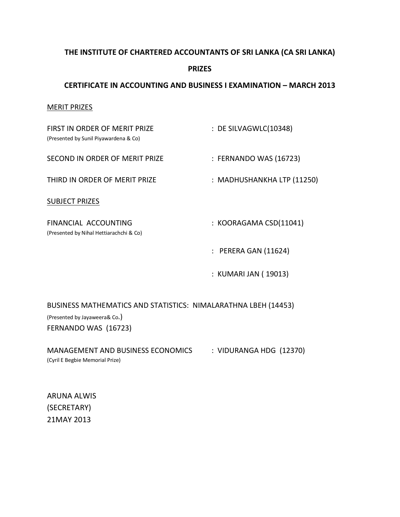## **THE INSTITUTE OF CHARTERED ACCOUNTANTS OF SRI LANKA (CA SRI LANKA)**

### **PRIZES**

## **CERTIFICATE IN ACCOUNTING AND BUSINESS I EXAMINATION – MARCH 2013**

#### MERIT PRIZES

| FIRST IN ORDER OF MERIT PRIZE<br>(Presented by Sunil Piyawardena & Co) | : DE SILVAGWLC(10348)      |
|------------------------------------------------------------------------|----------------------------|
| SECOND IN ORDER OF MERIT PRIZE                                         | : FERNANDO WAS (16723)     |
| THIRD IN ORDER OF MERIT PRIZE                                          | : MADHUSHANKHA LTP (11250) |
| <b>SUBJECT PRIZES</b>                                                  |                            |
| FINANCIAL ACCOUNTING<br>(Presented by Nihal Hettiarachchi & Co)        | : KOORAGAMA CSD(11041)     |
|                                                                        | : PERERA GAN (11624)       |
|                                                                        | : KUMARI JAN (19013)       |

BUSINESS MATHEMATICS AND STATISTICS: NIMALARATHNA LBEH (14453)

(Presented by Jayaweera& Co.) FERNANDO WAS (16723)

MANAGEMENT AND BUSINESS ECONOMICS : VIDURANGA HDG (12370) (Cyril E Begbie Memorial Prize)

ARUNA ALWIS (SECRETARY) 21MAY 2013